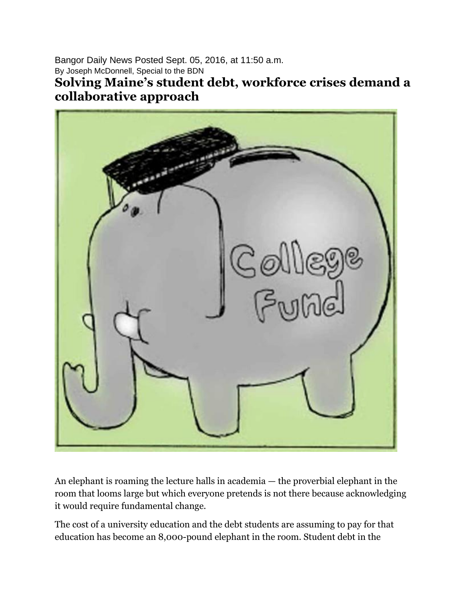Bangor Daily News Posted Sept. 05, 2016, at 11:50 a.m. By Joseph McDonnell, Special to the BDN **Solving Maine's student debt, workforce crises demand a collaborative approach**



An elephant is roaming the lecture halls in academia — the proverbial elephant in the room that looms large but which everyone pretends is not there because acknowledging it would require fundamental change.

The cost of a university education and the debt students are assuming to pay for that education has become an 8,000-pound elephant in the room. Student debt in the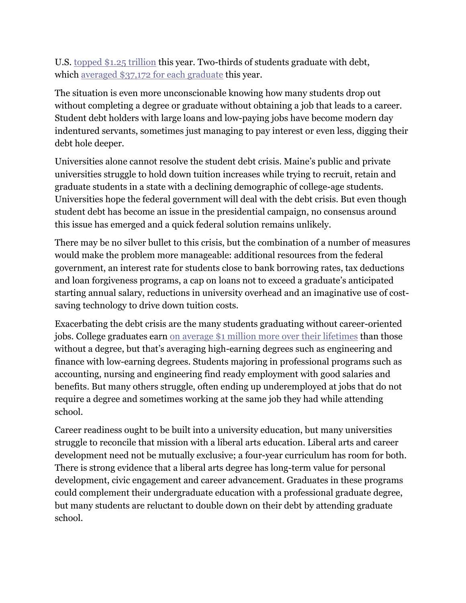U.S. [topped \\$1.25 trillion](https://www.google.com/url?q=https://www.bostonglobe.com/metro/2016/05/18/student-loan-debt-has-tripled-trillion-yes-trillion/JwnmJ1uCkSchgbAN4CDlzJ/story.html&sa=D&ust=1472748696968000&usg=AFQjCNGZl94EruVYss33Q7YP8VW1G6oRug) this year. Two-thirds of students graduate with debt, which <u>averaged \$37,172</u> for each graduate this year.

The situation is even more unconscionable knowing how many students drop out without completing a degree or graduate without obtaining a job that leads to a career. Student debt holders with large loans and low-paying jobs have become modern day indentured servants, sometimes just managing to pay interest or even less, digging their debt hole deeper.

Universities alone cannot resolve the student debt crisis. Maine's public and private universities struggle to hold down tuition increases while trying to recruit, retain and graduate students in a state with a declining demographic of college-age students. Universities hope the federal government will deal with the debt crisis. But even though student debt has become an issue in the presidential campaign, no consensus around this issue has emerged and a quick federal solution remains unlikely.

There may be no silver bullet to this crisis, but the combination of a number of measures would make the problem more manageable: additional resources from the federal government, an interest rate for students close to bank borrowing rates, tax deductions and loan forgiveness programs, a cap on loans not to exceed a graduate's anticipated starting annual salary, reductions in university overhead and an imaginative use of costsaving technology to drive down tuition costs.

Exacerbating the debt crisis are the many students graduating without career-oriented jobs. College graduates earn [on average \\$1 million more over their lifetimes](https://www.google.com/url?q=http://www.marketwatch.com/story/a-college-degree-is-worth-1-million-2015-05-07&sa=D&ust=1472748696970000&usg=AFQjCNFslWb8YI_pqkAvdE_eI8i6BPOn7Q) than those without a degree, but that's averaging high-earning degrees such as engineering and finance with low-earning degrees. Students majoring in professional programs such as accounting, nursing and engineering find ready employment with good salaries and benefits. But many others struggle, often ending up underemployed at jobs that do not require a degree and sometimes working at the same job they had while attending school.

Career readiness ought to be built into a university education, but many universities struggle to reconcile that mission with a liberal arts education. Liberal arts and career development need not be mutually exclusive; a four-year curriculum has room for both. There is strong evidence that a liberal arts degree has long-term value for personal development, civic engagement and career advancement. Graduates in these programs could complement their undergraduate education with a professional graduate degree, but many students are reluctant to double down on their debt by attending graduate school.